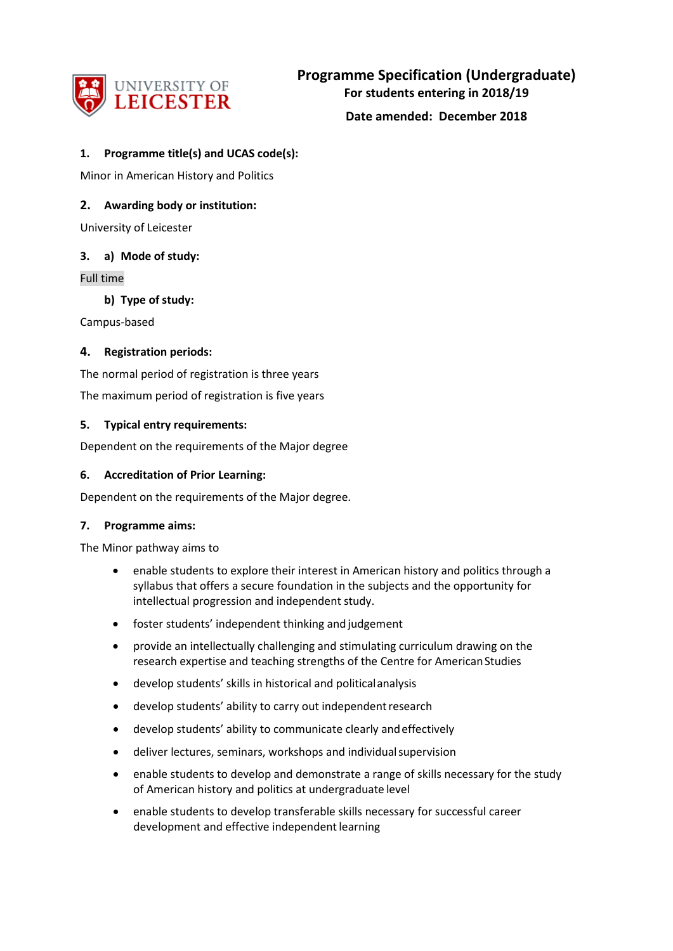

**Date amended: December 2018**

## **1. Programme title(s) and UCAS code(s):**

Minor in American History and Politics

## **2. Awarding body or institution:**

University of Leicester

### **3. a) Mode of study:**

Full time

**b) Type of study:**

Campus-based

### **4. Registration periods:**

The normal period of registration is three years

The maximum period of registration is five years

### **5. Typical entry requirements:**

Dependent on the requirements of the Major degree

#### **6. Accreditation of Prior Learning:**

Dependent on the requirements of the Major degree.

#### **7. Programme aims:**

The Minor pathway aims to

- enable students to explore their interest in American history and politics through a syllabus that offers a secure foundation in the subjects and the opportunity for intellectual progression and independent study.
- foster students' independent thinking and judgement
- provide an intellectually challenging and stimulating curriculum drawing on the research expertise and teaching strengths of the Centre for American Studies
- develop students' skills in historical and politicalanalysis
- develop students' ability to carry out independent research
- develop students' ability to communicate clearly andeffectively
- deliver lectures, seminars, workshops and individual supervision
- enable students to develop and demonstrate a range of skills necessary for the study of American history and politics at undergraduate level
- enable students to develop transferable skills necessary for successful career development and effective independent learning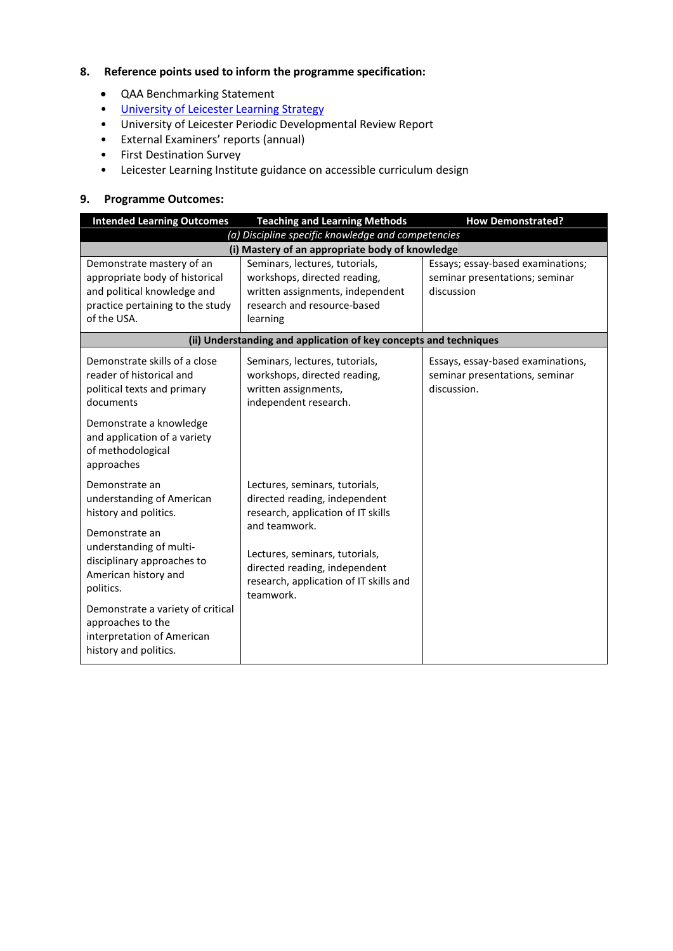# **8. Reference points used to inform the programme specification:**

- QAA Benchmarking Statement
- [University of Leicester Learning Strategy](http://www2.le.ac.uk/offices/sas2/quality/learnteach)
- University of Leicester Periodic Developmental Review Report
- External Examiners' reports (annual)
- First Destination Survey
- Leicester Learning Institute guidance on accessible curriculum design

### **9. Programme Outcomes:**

| <b>Intended Learning Outcomes</b>                                                                                                                                                                                                                                            | <b>Teaching and Learning Methods</b>                                                                                                                                                                                                             | <b>How Demonstrated?</b>                                                           |  |  |
|------------------------------------------------------------------------------------------------------------------------------------------------------------------------------------------------------------------------------------------------------------------------------|--------------------------------------------------------------------------------------------------------------------------------------------------------------------------------------------------------------------------------------------------|------------------------------------------------------------------------------------|--|--|
|                                                                                                                                                                                                                                                                              | (a) Discipline specific knowledge and competencies                                                                                                                                                                                               |                                                                                    |  |  |
| (i) Mastery of an appropriate body of knowledge                                                                                                                                                                                                                              |                                                                                                                                                                                                                                                  |                                                                                    |  |  |
| Demonstrate mastery of an<br>appropriate body of historical<br>and political knowledge and<br>practice pertaining to the study<br>of the USA.                                                                                                                                | Seminars, lectures, tutorials,<br>workshops, directed reading,<br>written assignments, independent<br>research and resource-based<br>learning                                                                                                    | Essays; essay-based examinations;<br>seminar presentations; seminar<br>discussion  |  |  |
|                                                                                                                                                                                                                                                                              | (ii) Understanding and application of key concepts and techniques                                                                                                                                                                                |                                                                                    |  |  |
| Demonstrate skills of a close<br>reader of historical and<br>political texts and primary<br>documents                                                                                                                                                                        | Seminars, lectures, tutorials,<br>workshops, directed reading,<br>written assignments,<br>independent research.                                                                                                                                  | Essays, essay-based examinations,<br>seminar presentations, seminar<br>discussion. |  |  |
| Demonstrate a knowledge<br>and application of a variety<br>of methodological<br>approaches                                                                                                                                                                                   |                                                                                                                                                                                                                                                  |                                                                                    |  |  |
| Demonstrate an<br>understanding of American<br>history and politics.<br>Demonstrate an<br>understanding of multi-<br>disciplinary approaches to<br>American history and<br>politics.<br>Demonstrate a variety of critical<br>approaches to the<br>interpretation of American | Lectures, seminars, tutorials,<br>directed reading, independent<br>research, application of IT skills<br>and teamwork.<br>Lectures, seminars, tutorials,<br>directed reading, independent<br>research, application of IT skills and<br>teamwork. |                                                                                    |  |  |
| history and politics.                                                                                                                                                                                                                                                        |                                                                                                                                                                                                                                                  |                                                                                    |  |  |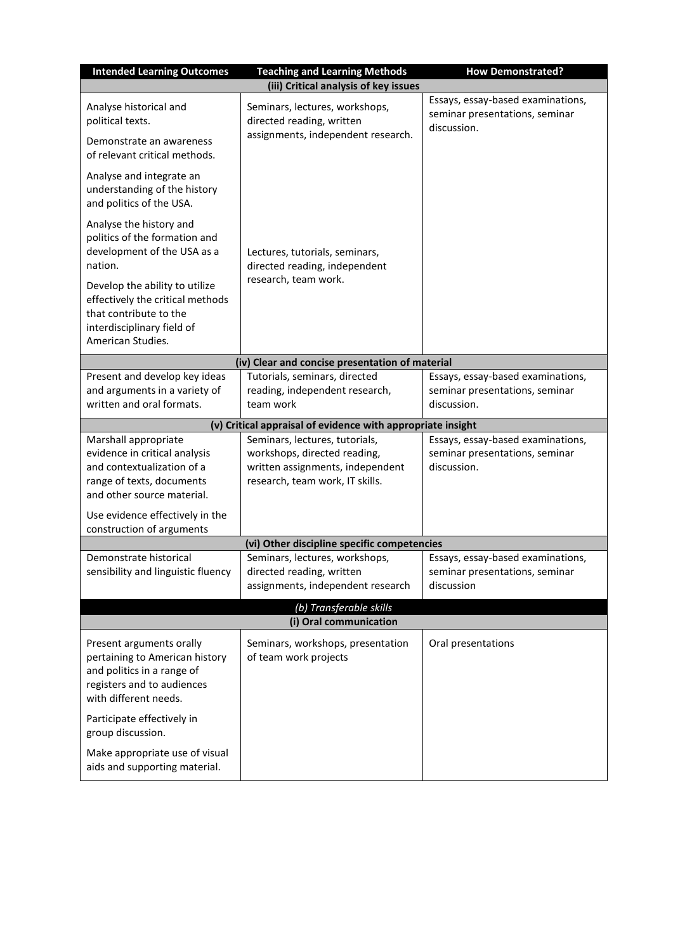| <b>Intended Learning Outcomes</b>                                                                                                               | <b>Teaching and Learning Methods</b>                                                                                                  | <b>How Demonstrated?</b>                                                           |  |  |
|-------------------------------------------------------------------------------------------------------------------------------------------------|---------------------------------------------------------------------------------------------------------------------------------------|------------------------------------------------------------------------------------|--|--|
|                                                                                                                                                 | (iii) Critical analysis of key issues                                                                                                 |                                                                                    |  |  |
| Analyse historical and<br>political texts.                                                                                                      | Seminars, lectures, workshops,<br>directed reading, written<br>assignments, independent research.                                     | Essays, essay-based examinations,<br>seminar presentations, seminar<br>discussion. |  |  |
| Demonstrate an awareness<br>of relevant critical methods.                                                                                       |                                                                                                                                       |                                                                                    |  |  |
| Analyse and integrate an<br>understanding of the history<br>and politics of the USA.                                                            |                                                                                                                                       |                                                                                    |  |  |
| Analyse the history and<br>politics of the formation and<br>development of the USA as a<br>nation.                                              | Lectures, tutorials, seminars,<br>directed reading, independent<br>research, team work.                                               |                                                                                    |  |  |
| Develop the ability to utilize<br>effectively the critical methods<br>that contribute to the<br>interdisciplinary field of<br>American Studies. |                                                                                                                                       |                                                                                    |  |  |
|                                                                                                                                                 | (iv) Clear and concise presentation of material                                                                                       |                                                                                    |  |  |
| Present and develop key ideas<br>and arguments in a variety of<br>written and oral formats.                                                     | Tutorials, seminars, directed<br>reading, independent research,<br>team work                                                          | Essays, essay-based examinations,<br>seminar presentations, seminar<br>discussion. |  |  |
|                                                                                                                                                 | (v) Critical appraisal of evidence with appropriate insight                                                                           |                                                                                    |  |  |
| Marshall appropriate<br>evidence in critical analysis<br>and contextualization of a<br>range of texts, documents<br>and other source material.  | Seminars, lectures, tutorials,<br>workshops, directed reading,<br>written assignments, independent<br>research, team work, IT skills. | Essays, essay-based examinations,<br>seminar presentations, seminar<br>discussion. |  |  |
| Use evidence effectively in the<br>construction of arguments                                                                                    |                                                                                                                                       |                                                                                    |  |  |
|                                                                                                                                                 | (vi) Other discipline specific competencies                                                                                           |                                                                                    |  |  |
| Demonstrate historical<br>sensibility and linguistic fluency                                                                                    | Seminars, lectures, workshops,<br>directed reading, written<br>assignments, independent research                                      | Essays, essay-based examinations,<br>seminar presentations, seminar<br>discussion  |  |  |
| (b) Transferable skills<br>(i) Oral communication                                                                                               |                                                                                                                                       |                                                                                    |  |  |
| Present arguments orally<br>pertaining to American history<br>and politics in a range of<br>registers and to audiences<br>with different needs. | Seminars, workshops, presentation<br>of team work projects                                                                            | Oral presentations                                                                 |  |  |
| Participate effectively in<br>group discussion.                                                                                                 |                                                                                                                                       |                                                                                    |  |  |
| Make appropriate use of visual<br>aids and supporting material.                                                                                 |                                                                                                                                       |                                                                                    |  |  |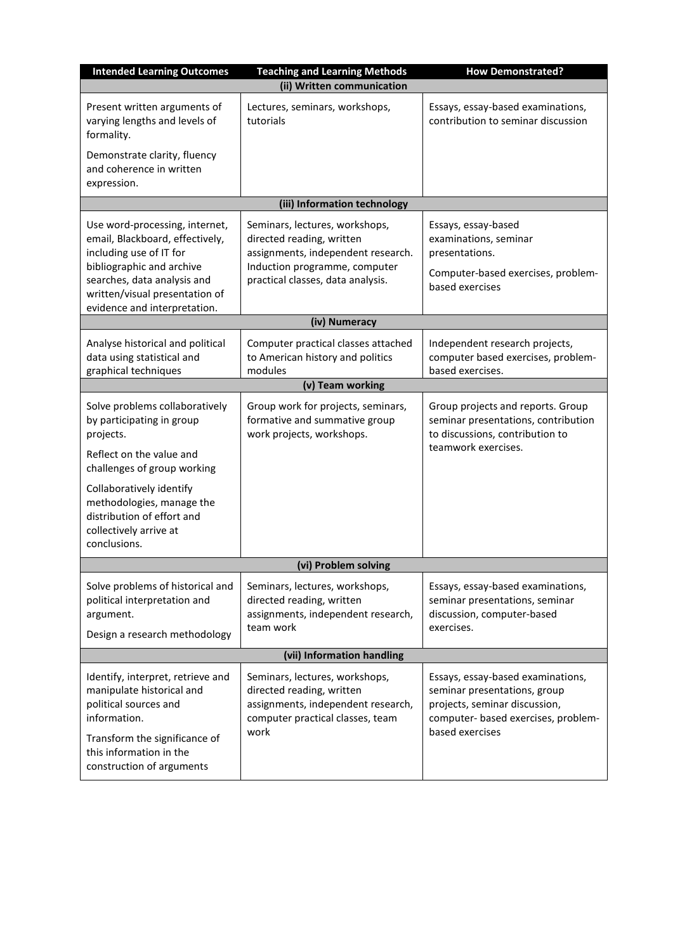| <b>Intended Learning Outcomes</b>                                                                                                                                                                                          | <b>Teaching and Learning Methods</b>                                                                                                                                    | <b>How Demonstrated?</b>                                                                                                           |  |  |
|----------------------------------------------------------------------------------------------------------------------------------------------------------------------------------------------------------------------------|-------------------------------------------------------------------------------------------------------------------------------------------------------------------------|------------------------------------------------------------------------------------------------------------------------------------|--|--|
|                                                                                                                                                                                                                            | (ii) Written communication                                                                                                                                              |                                                                                                                                    |  |  |
| Present written arguments of<br>varying lengths and levels of<br>formality.                                                                                                                                                | Lectures, seminars, workshops,<br>tutorials                                                                                                                             | Essays, essay-based examinations,<br>contribution to seminar discussion                                                            |  |  |
| Demonstrate clarity, fluency<br>and coherence in written<br>expression.                                                                                                                                                    |                                                                                                                                                                         |                                                                                                                                    |  |  |
|                                                                                                                                                                                                                            | (iii) Information technology                                                                                                                                            |                                                                                                                                    |  |  |
| Use word-processing, internet,<br>email, Blackboard, effectively,<br>including use of IT for<br>bibliographic and archive<br>searches, data analysis and<br>written/visual presentation of<br>evidence and interpretation. | Seminars, lectures, workshops,<br>directed reading, written<br>assignments, independent research.<br>Induction programme, computer<br>practical classes, data analysis. | Essays, essay-based<br>examinations, seminar<br>presentations.<br>Computer-based exercises, problem-<br>based exercises            |  |  |
| (iv) Numeracy                                                                                                                                                                                                              |                                                                                                                                                                         |                                                                                                                                    |  |  |
| Analyse historical and political<br>data using statistical and<br>graphical techniques                                                                                                                                     | Computer practical classes attached<br>to American history and politics<br>modules                                                                                      | Independent research projects,<br>computer based exercises, problem-<br>based exercises.                                           |  |  |
|                                                                                                                                                                                                                            | (v) Team working                                                                                                                                                        |                                                                                                                                    |  |  |
| Solve problems collaboratively<br>by participating in group<br>projects.<br>Reflect on the value and                                                                                                                       | Group work for projects, seminars,<br>formative and summative group<br>work projects, workshops.                                                                        | Group projects and reports. Group<br>seminar presentations, contribution<br>to discussions, contribution to<br>teamwork exercises. |  |  |
| challenges of group working<br>Collaboratively identify<br>methodologies, manage the<br>distribution of effort and<br>collectively arrive at<br>conclusions.                                                               |                                                                                                                                                                         |                                                                                                                                    |  |  |
| (vi) Problem solving                                                                                                                                                                                                       |                                                                                                                                                                         |                                                                                                                                    |  |  |
| Solve problems of historical and<br>political interpretation and<br>argument.<br>Design a research methodology                                                                                                             | Seminars, lectures, workshops,<br>directed reading, written<br>assignments, independent research,<br>team work                                                          | Essays, essay-based examinations,<br>seminar presentations, seminar<br>discussion, computer-based<br>exercises.                    |  |  |
|                                                                                                                                                                                                                            | (vii) Information handling                                                                                                                                              |                                                                                                                                    |  |  |
|                                                                                                                                                                                                                            |                                                                                                                                                                         | Essays, essay-based examinations,                                                                                                  |  |  |
| Identify, interpret, retrieve and<br>manipulate historical and<br>political sources and<br>information.                                                                                                                    | Seminars, lectures, workshops,<br>directed reading, written<br>assignments, independent research,<br>computer practical classes, team<br>work                           | seminar presentations, group<br>projects, seminar discussion,<br>computer- based exercises, problem-<br>based exercises            |  |  |
| Transform the significance of<br>this information in the<br>construction of arguments                                                                                                                                      |                                                                                                                                                                         |                                                                                                                                    |  |  |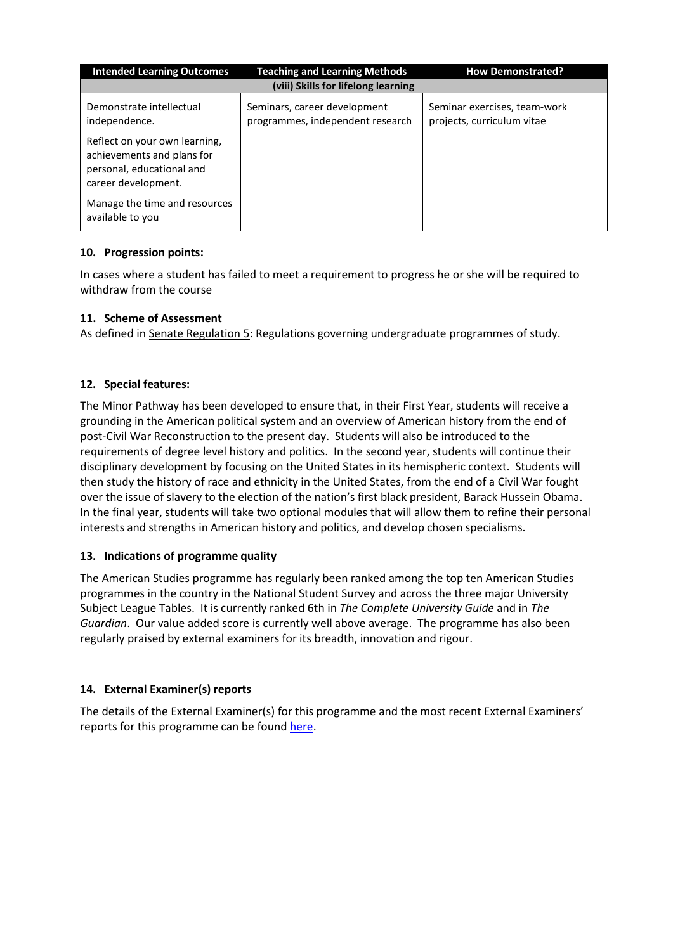| <b>Intended Learning Outcomes</b>                                                                               | <b>Teaching and Learning Methods</b>                             | <b>How Demonstrated?</b>                                   |  |  |  |
|-----------------------------------------------------------------------------------------------------------------|------------------------------------------------------------------|------------------------------------------------------------|--|--|--|
| (viii) Skills for lifelong learning                                                                             |                                                                  |                                                            |  |  |  |
| Demonstrate intellectual<br>independence.                                                                       | Seminars, career development<br>programmes, independent research | Seminar exercises, team-work<br>projects, curriculum vitae |  |  |  |
| Reflect on your own learning,<br>achievements and plans for<br>personal, educational and<br>career development. |                                                                  |                                                            |  |  |  |
| Manage the time and resources<br>available to you                                                               |                                                                  |                                                            |  |  |  |

# **10. Progression points:**

In cases where a student has failed to meet a requirement to progress he or she will be required to withdraw from the course

## **11. Scheme of Assessment**

As defined in Senate Regulation 5: Regulations governing undergraduate programmes of study.

## **12. Special features:**

The Minor Pathway has been developed to ensure that, in their First Year, students will receive a grounding in the American political system and an overview of American history from the end of post-Civil War Reconstruction to the present day. Students will also be introduced to the requirements of degree level history and politics. In the second year, students will continue their disciplinary development by focusing on the United States in its hemispheric context. Students will then study the history of race and ethnicity in the United States, from the end of a Civil War fought over the issue of slavery to the election of the nation's first black president, Barack Hussein Obama. In the final year, students will take two optional modules that will allow them to refine their personal interests and strengths in American history and politics, and develop chosen specialisms.

### **13. Indications of programme quality**

The American Studies programme has regularly been ranked among the top ten American Studies programmes in the country in the National Student Survey and across the three major University Subject League Tables. It is currently ranked 6th in *The Complete University Guide* and in *The Guardian*. Our value added score is currently well above average. The programme has also been regularly praised by external examiners for its breadth, innovation and rigour.

### **14. External Examiner(s) reports**

The details of the External Examiner(s) for this programme and the most recent External Examiners' reports for this programme can be foun[d here.](https://exampapers.le.ac.uk/xmlui/)